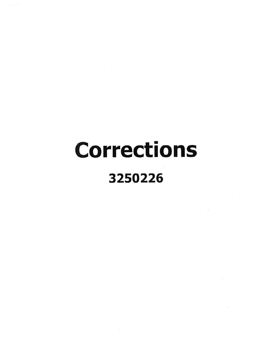# **Corrections** 3250226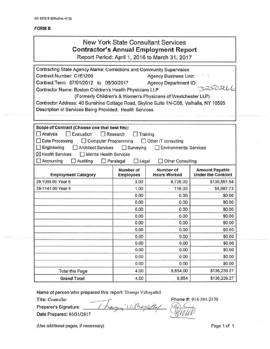#### **FORM B**

## New York State Consultant Services **Contractor's Annual Employment Report** Report Period: April 1,2016 to March 31,2017

| Contracting State Agency Name: Corrections and Community Supervision                   |                                                         |                                                               |                           |
|----------------------------------------------------------------------------------------|---------------------------------------------------------|---------------------------------------------------------------|---------------------------|
| Contract Number: C161200                                                               | Agency Business Unit: 1<br><b>Agency Department ID:</b> |                                                               |                           |
| Contract Term: 07/01/2012 to 06/30/2017                                                |                                                         |                                                               |                           |
| Contractor Name: Boston Children's Health Physicians LLP                               |                                                         |                                                               | 3250266                   |
|                                                                                        |                                                         | (Formerly Children's & Women's Physicians of Westchester LLP) |                           |
| Contractor Address: 40 Sunshine Cottage Road, Skyline Suite 1N-C08, Valhalla, NY 10595 |                                                         |                                                               |                           |
| Description of Services Being Provided: Health Services                                |                                                         |                                                               |                           |
|                                                                                        |                                                         |                                                               |                           |
| Scope of Contract (Choose one that best fits):                                         |                                                         |                                                               |                           |
| $\Box$ Analysis<br>Evaluation                                                          | Research                                                | Training                                                      |                           |
| Data Processing<br>□ Computer Programming                                              |                                                         | $\Box$ Other IT consulting                                    |                           |
| $\Box$ Engineering<br><b>Architect Services</b>                                        | $\Box$ Surveying                                        | <b>Environmental Services</b>                                 |                           |
| $\boxtimes$ Health Services<br>Mental Health Services                                  |                                                         |                                                               |                           |
| $\Box$ Accounting<br>$\Box$ Auditing                                                   | $\Box$ Paralegal<br>$\Box$ Legal                        | Other Consulting                                              |                           |
|                                                                                        | Number of                                               | Number of                                                     | <b>Amount Payable</b>     |
| <b>Employment Category</b>                                                             | <b>Employees</b>                                        | <b>Hours Worked</b>                                           | <b>Under the Contract</b> |
| 29.1065.00 Year 5                                                                      | 3.00                                                    | 8,736.00                                                      | \$130,551.54              |
| 29-1141.00 Year 5                                                                      | 1.00                                                    | 118.00                                                        | \$5,687.73                |
|                                                                                        | 0.00                                                    | 0.00                                                          | \$0.00                    |
|                                                                                        | 0.00                                                    | 0.00                                                          | \$0.00                    |
|                                                                                        | 0.00                                                    | 0.00                                                          | \$0.00                    |
|                                                                                        | 0.00                                                    | 0.00                                                          | \$0.00                    |
|                                                                                        | 0.00                                                    | 0.00                                                          | \$0.00                    |
|                                                                                        | 0.00                                                    | 0.00                                                          | \$0.00                    |
|                                                                                        | 0.00                                                    | 0.00                                                          | \$0.00                    |
|                                                                                        | 0.00                                                    | 0.00                                                          | \$0.00                    |
|                                                                                        | 0.00                                                    | 0.00                                                          | \$0.00                    |
|                                                                                        | 0.00                                                    | 0.00                                                          | \$0.00                    |
|                                                                                        | 0.00                                                    | 0.00                                                          | \$0.00                    |
| <b>Total this Page</b>                                                                 | 4.00                                                    | 8,854.00                                                      | \$136,239.27              |
| <b>Grand Total</b>                                                                     | 4.00                                                    | 8,854                                                         | \$136,239.27              |

Title: Controller

Name of person who prepared this report: Thampi Vithayath<br>Title: Controller<br>Preparer's Signature: *I Austra U. The puffu* Date Prepared: 05/3112017 *fiR-f.:=b '::!!1!!itP* ---:-=-

Phone #: 914-594-2170

(Use additional pages, if necessary) example the control of the Page 1 of 1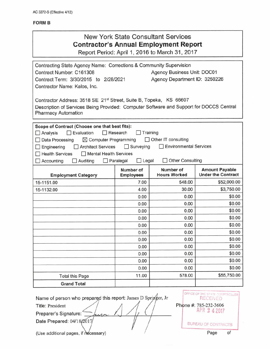#### **FORM B**

| <b>New York State Consultant Services</b><br><b>Contractor's Annual Employment Report</b><br>Report Period: April 1, 2016 to March 31, 2017                                                                                                                                                                                                                                                                          |              |              |                  |  |  |
|----------------------------------------------------------------------------------------------------------------------------------------------------------------------------------------------------------------------------------------------------------------------------------------------------------------------------------------------------------------------------------------------------------------------|--------------|--------------|------------------|--|--|
| Contracting State Agency Name: Corrections & Community Supervision<br>Contract Number: C161308<br>Agency Business Unit: DOC01<br>Agency Department ID: 3250226<br>Contract Term: 3/30/2015 to 2/28/2021<br>Contractor Name: Kalos, Inc.<br>Contractor Address: 3518 SE 21 <sup>st</sup> Street, Suite B, Topeka, KS 66607<br>Description of Services Being Provided: Computer Software and Support for DOCCS Central |              |              |                  |  |  |
| <b>Pharmacy Automation</b><br>Scope of Contract (Choose one that best fits):<br><b>Evaluation</b><br>Research<br>Training<br>LЦ<br>Analysis<br>Other IT consulting<br>$\boxtimes$ Computer Programming<br>Data Processing<br><b>Environmental Services</b><br>$\Box$ Surveying<br>Engineering<br><b>Architect Services</b><br><b>Health Services</b><br>Mental Health Services                                       |              |              |                  |  |  |
| Other Consulting<br>Auditing<br>$\Box$ Legal<br>Accounting<br>Paralegal<br>Number of<br><b>Amount Payable</b><br>Number of<br><b>Under the Contract</b><br><b>Hours Worked</b><br><b>Employees</b><br><b>Employment Category</b>                                                                                                                                                                                     |              |              |                  |  |  |
| 15-1151.00                                                                                                                                                                                                                                                                                                                                                                                                           | 7.00         | 548.00       | \$52,000.00      |  |  |
| 15-1132.00                                                                                                                                                                                                                                                                                                                                                                                                           | 4.00         | 30.00        | \$3,750.00       |  |  |
|                                                                                                                                                                                                                                                                                                                                                                                                                      | 0.00         | 0.00         | \$0.00           |  |  |
|                                                                                                                                                                                                                                                                                                                                                                                                                      | 0.00         | 0.00         | \$0.00           |  |  |
|                                                                                                                                                                                                                                                                                                                                                                                                                      | 0.00         | 0.00         | \$0.00           |  |  |
|                                                                                                                                                                                                                                                                                                                                                                                                                      | 0.00         | 0.00         | \$0.00           |  |  |
|                                                                                                                                                                                                                                                                                                                                                                                                                      | 0.00         | 0.00         | \$0.00           |  |  |
|                                                                                                                                                                                                                                                                                                                                                                                                                      | 0.00         | 0.00         | \$0.00           |  |  |
|                                                                                                                                                                                                                                                                                                                                                                                                                      | 0.00         | 0.00         | \$0.00           |  |  |
|                                                                                                                                                                                                                                                                                                                                                                                                                      | 0.00         | 0.00         | \$0.00<br>\$0.00 |  |  |
|                                                                                                                                                                                                                                                                                                                                                                                                                      | 0.00<br>0.00 |              |                  |  |  |
|                                                                                                                                                                                                                                                                                                                                                                                                                      | 0.00<br>0.00 | 0.00<br>0.00 | \$0.00<br>\$0.00 |  |  |
|                                                                                                                                                                                                                                                                                                                                                                                                                      | 11.00        | 578.00       | \$55,750.00      |  |  |
| <b>Total this Page</b><br><b>Grand Total</b>                                                                                                                                                                                                                                                                                                                                                                         |              |              |                  |  |  |
|                                                                                                                                                                                                                                                                                                                                                                                                                      |              |              |                  |  |  |

Name of person who prepared this report: James D Springer, Jr Title: President

Preparer's Signature:

Date Prepared: 04/18/2017

OFFICE OF THE STATE COMPTROLLE RECEIVED Phone #: 785-232-3606 APR 2 4 2017 BUREAU OF CONTRACTS

(Use additional pages, if  $\mathsf{ndcessary}$ )  $\qquad \qquad$   $\qquad \qquad$   $\qquad$   $\qquad$   $\qquad$   $\qquad$   $\qquad$   $\qquad$   $\qquad$   $\qquad$   $\qquad$   $\qquad$   $\qquad$   $\qquad$   $\qquad$   $\qquad$   $\qquad$   $\qquad$   $\qquad$   $\qquad$   $\qquad$   $\qquad$   $\qquad$   $\qquad$   $\qquad$   $\qquad$   $\qquad$   $\qquad$   $\qquad$   $\$ 

Page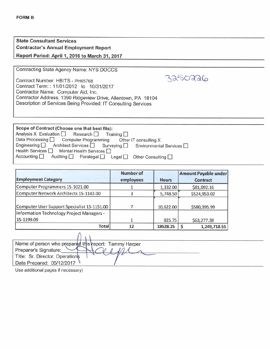| <b>State Consultant Services</b>               |
|------------------------------------------------|
| <b>Contractor's Annual Employment Report</b>   |
| Report Period: April 1, 2016 to March 31, 2017 |

Contracting State Agency Name: NYS DOCCS

Contract Number: HBITS - PH65768 Contract Term: : *11/01/2012* to *10/31/2017* Contractor Name: Computer Aid, Inc. Contractor Address: 1390 Ridgeview Drive, Allentown, PA 18104 Description of Services Being Provided: IT Consulting Services

| Scope of Contract (Choose one that best fits):                                                                                    |
|-----------------------------------------------------------------------------------------------------------------------------------|
| $\Box$ Analysis X Evaluation $\Box$ Research $\Box$<br>Training $\Box$                                                            |
| Data Processing Computer Programming<br>Other IT consulting X                                                                     |
| Engineering $\Box$<br>Architect Services <u>Surveying</u><br>Environmental Services                                               |
| Health Services<br>Mental Health Services $\Box$                                                                                  |
| $\sqrt{\phantom{a}}$ Accounting $\boxed{\phantom{a}}$<br>Auditing $\Box$ Paralegal $\Box$ Legal $\Box$<br>Other Consulting $\Box$ |

3250226

| <b>Employment Category</b>                  | <b>Number of</b><br>employees | <b>Hours</b> | Amount Payable under<br><b>Contract</b> |
|---------------------------------------------|-------------------------------|--------------|-----------------------------------------|
| Computer Programmers 15-1021.00             |                               | 1,332.00     | \$81,092.16                             |
| Computer Network Architects 15-1143.00      |                               | 5,748.50     | \$524,953.02                            |
| Computer User Support Specialist 15-1151.00 |                               | 10,622.00    | \$580,395.99                            |
| Information Technology Project Managers -   |                               |              |                                         |
| 15-1199.09                                  |                               | 825.75       | \$63,277.38                             |
| <b>Total</b>                                | 12                            | 18528.25     | 1,249,718.55                            |

| Name of person who prepared this report: Tammy Harper |
|-------------------------------------------------------|
| Preparer's Signature:                                 |
| Title: Sr. Director, Operations                       |
| Date Prepared: 05/12/2017                             |
|                                                       |

Use additional pages if necessary)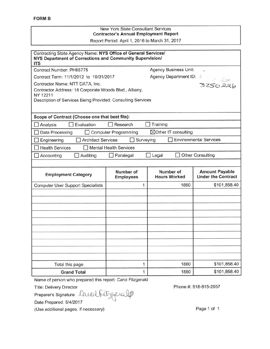#### New York State Consultant Services **Contractor's Annual Employment Report** Report Period: April 1,2016 to March 31,2017

| Contracting State Agency Name: NYS Office of General Services/<br>NYS Department of Corrections and Community Supervision/<br>ITS                                                                                                    |                               |                                  |                                                    |
|--------------------------------------------------------------------------------------------------------------------------------------------------------------------------------------------------------------------------------------|-------------------------------|----------------------------------|----------------------------------------------------|
| Contract Number: PH65775                                                                                                                                                                                                             |                               | <b>Agency Business Unit:</b>     | ÷.                                                 |
| Contract Term: 11/1/2012 to 10/31/2017                                                                                                                                                                                               |                               |                                  |                                                    |
| Agency Department ID: 8<br>Agency Department ID: 8<br>3250226<br>Contractor Name: NTT DATA, Inc.<br>Contractor Address: 18 Corporate Woods Blvd., Albany,<br>NY 12211<br>Description of Services Being Provided: Consulting Services |                               |                                  |                                                    |
| Scope of Contract (Choose one that best fits):                                                                                                                                                                                       |                               |                                  |                                                    |
| Evaluation<br>Analysis                                                                                                                                                                                                               | $\Box$ Research               | Training                         |                                                    |
| Data Processing                                                                                                                                                                                                                      | <b>Computer Programming</b>   | ⊠Other IT consulting             |                                                    |
| Architect Services<br>Engineering                                                                                                                                                                                                    | Surveying                     |                                  | <b>Environmental Services</b>                      |
| <b>Health Services</b>                                                                                                                                                                                                               | Mental Health Services        |                                  |                                                    |
| Auditing<br>Accounting                                                                                                                                                                                                               | Paralegal                     | $\Box$ Legal                     | Other Consulting                                   |
|                                                                                                                                                                                                                                      |                               |                                  |                                                    |
| <b>Employment Category</b>                                                                                                                                                                                                           | Number of<br><b>Employees</b> | Number of<br><b>Hours Worked</b> | <b>Amount Payable</b><br><b>Under the Contract</b> |
| <b>Computer User Support Specialists</b>                                                                                                                                                                                             | 1                             | 1880                             | \$101,858.40                                       |
|                                                                                                                                                                                                                                      |                               |                                  |                                                    |
|                                                                                                                                                                                                                                      |                               |                                  |                                                    |
|                                                                                                                                                                                                                                      |                               |                                  |                                                    |
|                                                                                                                                                                                                                                      |                               |                                  |                                                    |
|                                                                                                                                                                                                                                      |                               |                                  |                                                    |
|                                                                                                                                                                                                                                      |                               |                                  |                                                    |
|                                                                                                                                                                                                                                      |                               |                                  |                                                    |
|                                                                                                                                                                                                                                      |                               |                                  |                                                    |
|                                                                                                                                                                                                                                      |                               |                                  |                                                    |
| Total this page                                                                                                                                                                                                                      | 1                             | 1880                             | \$101,858.40                                       |
| <b>Grand Total</b>                                                                                                                                                                                                                   | 1                             | 1880                             | \$101,858.40                                       |

Name of person who prepared this report: Carol Fitzgerald

Title: Delivery Director

Preparer's Signature: Cause Aitzgeralp

Date Prepared: *5/4/2017*

(Use additional pages, if necessary)

Phone #: 518-815-2057

Page 1 of 1